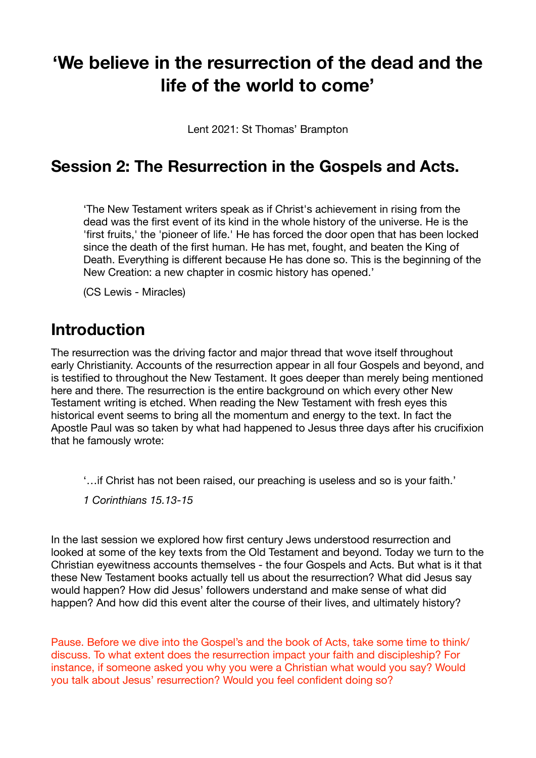# **'We believe in the resurrection of the dead and the life of the world to come'**

Lent 2021: St Thomas' Brampton

#### **Session 2: The Resurrection in the Gospels and Acts.**

'The New Testament writers speak as if Christ's achievement in rising from the dead was the first event of its kind in the whole history of the universe. He is the 'first fruits,' the 'pioneer of life.' He has forced the door open that has been locked since the death of the first human. He has met, fought, and beaten the King of Death. Everything is different because He has done so. This is the beginning of the New Creation: a new chapter in cosmic history has opened.'

(CS Lewis - Miracles)

### **Introduction**

The resurrection was the driving factor and major thread that wove itself throughout early Christianity. Accounts of the resurrection appear in all four Gospels and beyond, and is testified to throughout the New Testament. It goes deeper than merely being mentioned here and there. The resurrection is the entire background on which every other New Testament writing is etched. When reading the New Testament with fresh eyes this historical event seems to bring all the momentum and energy to the text. In fact the Apostle Paul was so taken by what had happened to Jesus three days after his crucifixion that he famously wrote:

'…if Christ has not been raised, our preaching is useless and so is your faith.'

*1 Corinthians 15.13-15* 

In the last session we explored how first century Jews understood resurrection and looked at some of the key texts from the Old Testament and beyond. Today we turn to the Christian eyewitness accounts themselves - the four Gospels and Acts. But what is it that these New Testament books actually tell us about the resurrection? What did Jesus say would happen? How did Jesus' followers understand and make sense of what did happen? And how did this event alter the course of their lives, and ultimately history?

Pause. Before we dive into the Gospel's and the book of Acts, take some time to think/ discuss. To what extent does the resurrection impact your faith and discipleship? For instance, if someone asked you why you were a Christian what would you say? Would you talk about Jesus' resurrection? Would you feel confident doing so?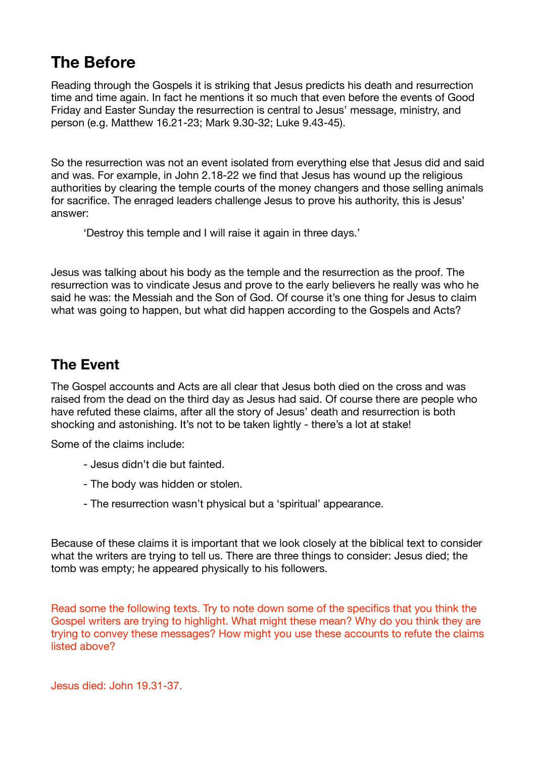## **The Before**

Reading through the Gospels it is striking that Jesus predicts his death and resurrection time and time again. In fact he mentions it so much that even before the events of Good Friday and Easter Sunday the resurrection is central to Jesus' message, ministry, and person (e.g. Matthew 16.21-23; Mark 9.30-32; Luke 9.43-45).

So the resurrection was not an event isolated from everything else that Jesus did and said and was. For example, in John 2.18-22 we find that Jesus has wound up the religious authorities by clearing the temple courts of the money changers and those selling animals for sacrifice. The enraged leaders challenge Jesus to prove his authority, this is Jesus' answer:

'Destroy this temple and I will raise it again in three days.'

Jesus was talking about his body as the temple and the resurrection as the proof. The resurrection was to vindicate Jesus and prove to the early believers he really was who he said he was: the Messiah and the Son of God. Of course it's one thing for Jesus to claim what was going to happen, but what did happen according to the Gospels and Acts?

#### **The Event**

The Gospel accounts and Acts are all clear that Jesus both died on the cross and was raised from the dead on the third day as Jesus had said. Of course there are people who have refuted these claims, after all the story of Jesus' death and resurrection is both shocking and astonishing. It's not to be taken lightly - there's a lot at stake!

Some of the claims include:

- Jesus didn't die but fainted.
- The body was hidden or stolen.
- The resurrection wasn't physical but a 'spiritual' appearance.

Because of these claims it is important that we look closely at the biblical text to consider what the writers are trying to tell us. There are three things to consider: Jesus died; the tomb was empty; he appeared physically to his followers.

Read some the following texts. Try to note down some of the specifics that you think the Gospel writers are trying to highlight. What might these mean? Why do you think they are trying to convey these messages? How might you use these accounts to refute the claims listed above?

Jesus died: John 19.31-37.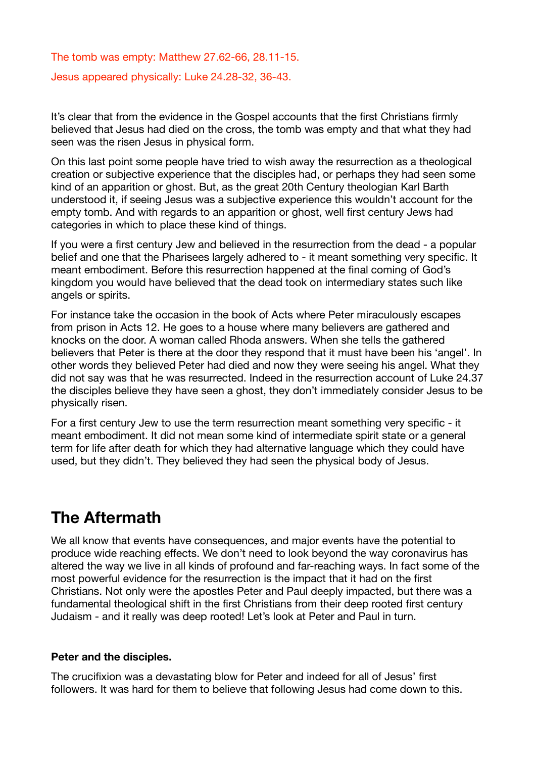The tomb was empty: Matthew 27.62-66, 28.11-15.

Jesus appeared physically: Luke 24.28-32, 36-43.

It's clear that from the evidence in the Gospel accounts that the first Christians firmly believed that Jesus had died on the cross, the tomb was empty and that what they had seen was the risen Jesus in physical form.

On this last point some people have tried to wish away the resurrection as a theological creation or subjective experience that the disciples had, or perhaps they had seen some kind of an apparition or ghost. But, as the great 20th Century theologian Karl Barth understood it, if seeing Jesus was a subjective experience this wouldn't account for the empty tomb. And with regards to an apparition or ghost, well first century Jews had categories in which to place these kind of things.

If you were a first century Jew and believed in the resurrection from the dead - a popular belief and one that the Pharisees largely adhered to - it meant something very specific. It meant embodiment. Before this resurrection happened at the final coming of God's kingdom you would have believed that the dead took on intermediary states such like angels or spirits.

For instance take the occasion in the book of Acts where Peter miraculously escapes from prison in Acts 12. He goes to a house where many believers are gathered and knocks on the door. A woman called Rhoda answers. When she tells the gathered believers that Peter is there at the door they respond that it must have been his 'angel'. In other words they believed Peter had died and now they were seeing his angel. What they did not say was that he was resurrected. Indeed in the resurrection account of Luke 24.37 the disciples believe they have seen a ghost, they don't immediately consider Jesus to be physically risen.

For a first century Jew to use the term resurrection meant something very specific - it meant embodiment. It did not mean some kind of intermediate spirit state or a general term for life after death for which they had alternative language which they could have used, but they didn't. They believed they had seen the physical body of Jesus.

## **The Aftermath**

We all know that events have consequences, and major events have the potential to produce wide reaching effects. We don't need to look beyond the way coronavirus has altered the way we live in all kinds of profound and far-reaching ways. In fact some of the most powerful evidence for the resurrection is the impact that it had on the first Christians. Not only were the apostles Peter and Paul deeply impacted, but there was a fundamental theological shift in the first Christians from their deep rooted first century Judaism - and it really was deep rooted! Let's look at Peter and Paul in turn.

#### **Peter and the disciples.**

The crucifixion was a devastating blow for Peter and indeed for all of Jesus' first followers. It was hard for them to believe that following Jesus had come down to this.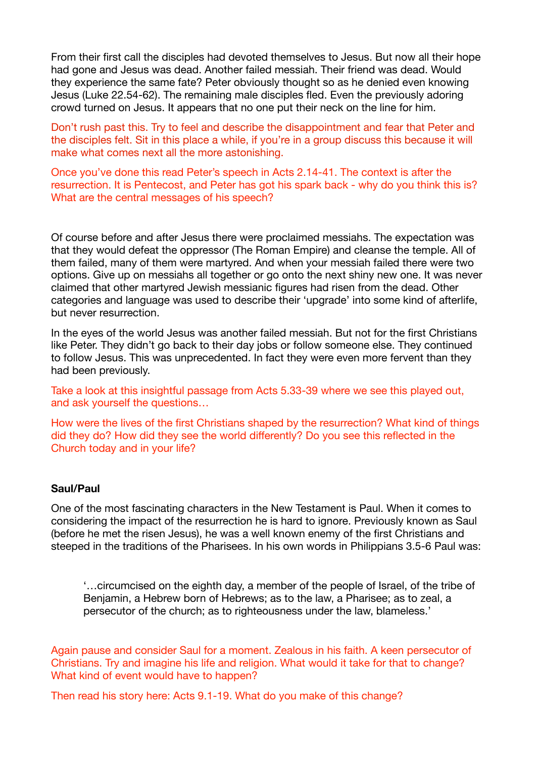From their first call the disciples had devoted themselves to Jesus. But now all their hope had gone and Jesus was dead. Another failed messiah. Their friend was dead. Would they experience the same fate? Peter obviously thought so as he denied even knowing Jesus (Luke 22.54-62). The remaining male disciples fled. Even the previously adoring crowd turned on Jesus. It appears that no one put their neck on the line for him.

Don't rush past this. Try to feel and describe the disappointment and fear that Peter and the disciples felt. Sit in this place a while, if you're in a group discuss this because it will make what comes next all the more astonishing.

Once you've done this read Peter's speech in Acts 2.14-41. The context is after the resurrection. It is Pentecost, and Peter has got his spark back - why do you think this is? What are the central messages of his speech?

Of course before and after Jesus there were proclaimed messiahs. The expectation was that they would defeat the oppressor (The Roman Empire) and cleanse the temple. All of them failed, many of them were martyred. And when your messiah failed there were two options. Give up on messiahs all together or go onto the next shiny new one. It was never claimed that other martyred Jewish messianic figures had risen from the dead. Other categories and language was used to describe their 'upgrade' into some kind of afterlife, but never resurrection.

In the eyes of the world Jesus was another failed messiah. But not for the first Christians like Peter. They didn't go back to their day jobs or follow someone else. They continued to follow Jesus. This was unprecedented. In fact they were even more fervent than they had been previously.

Take a look at this insightful passage from Acts 5.33-39 where we see this played out, and ask yourself the questions…

How were the lives of the first Christians shaped by the resurrection? What kind of things did they do? How did they see the world differently? Do you see this reflected in the Church today and in your life?

#### **Saul/Paul**

One of the most fascinating characters in the New Testament is Paul. When it comes to considering the impact of the resurrection he is hard to ignore. Previously known as Saul (before he met the risen Jesus), he was a well known enemy of the first Christians and steeped in the traditions of the Pharisees. In his own words in Philippians 3.5-6 Paul was:

'…circumcised on the eighth day, a member of the people of Israel, of the tribe of Benjamin, a Hebrew born of Hebrews; as to the law, a Pharisee; as to zeal, a persecutor of the church; as to righteousness under the law, blameless.'

Again pause and consider Saul for a moment. Zealous in his faith. A keen persecutor of Christians. Try and imagine his life and religion. What would it take for that to change? What kind of event would have to happen?

Then read his story here: Acts 9.1-19. What do you make of this change?